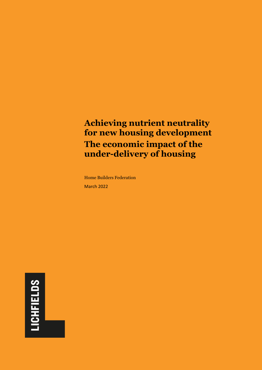# **Achieving nutrient neutrality for new housing development The economic impact of the under-delivery of housing**

Home Builders Federation March 2022

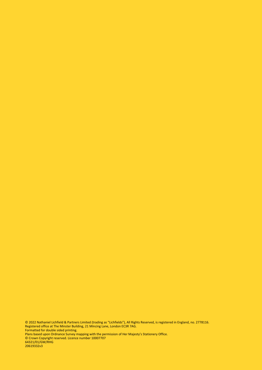© 2022 Nathaniel Lichfield & Partners Limited (trading as "Lichfields"), All Rights Reserved, is registered in England, no. 2778116. Registered office at The Minster Building, 21 Mincing Lane, London EC3R 7AG. Formatted for double sided printing. Plans based upon Ordnance Survey mapping with the permission of Her Majesty's Stationery Office.

© Crown Copyright reserved. Licence number 10007707 64321/01/GW/RHG 20619332v3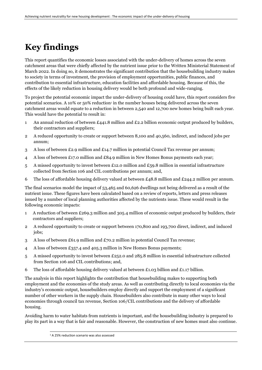# **Key findings**

This report quantifies the economic losses associated with the under-delivery of homes across the seven catchment areas that were chiefly affected by the nutrient issue prior to the Written Ministerial Statement of March 2022. In doing so, it demonstrates the significant contribution that the housebuilding industry makes to society in terms of investment, the provision of employment opportunities, public finances, and contribution to essential infrastructure, education facilities and affordable housing. Because of this, the effects of the likely reduction in housing delivery would be both profound and wide-ranging.

To project the potential economic impact the under-delivery of housing could have, this report considers five potential scenarios. A 10% or  $50\%$  reduction<sup>1</sup> in the number houses being delivered across the seven catchment areas would equate to a reduction in between 2,540 and 12,700 new homes being built each year. This would have the potential to result in:

- 1 An annual reduction of between £441.8 million and £2.2 billion economic output produced by builders, their contractors and suppliers;
- 2 A reduced opportunity to create or support between 8,100 and 40,560, indirect, and induced jobs per annum;
- 3 A loss of between £2.9 million and £14.7 million in potential Council Tax revenue per annum;
- 4 A loss of between £17.0 million and £84.9 million in New Homes Bonus payments each year;
- 5 A missed opportunity to invest between £12.0 million and £59.8 million in essential infrastructure collected from Section 106 and CIL contributions per annum; and,
- 6 The loss of affordable housing delivery valued at between  $\text{\pounds}_{48.8}$  million and  $\text{\pounds}_{244.2}$  million per annum.

The final scenarios model the impact of 53,465 and 60,626 dwellings not being delivered as a result of the nutrient issue. These figures have been calculated based on a review of reports, letters and press releases issued by a number of local planning authorities affected by the nutrients issue. These would result in the following economic impacts:

- 1 A reduction of between £269.3 million and 305.4 million of economic output produced by builders, their contractors and suppliers;
- 2 A reduced opportunity to create or support between 170,800 and 193,700 direct, indirect, and induced jobs;
- 3 A loss of between £61.9 million and £70.2 million in potential Council Tax revenue;
- 4 A loss of between £357.4 and 405.3 million in New Homes Bonus payments;
- 5 A missed opportunity to invest between £252.0 and 285.8 million in essential infrastructure collected from Section 106 and CIL contributions; and,
- 6 The loss of affordable housing delivery valued at between £1.03 billion and £1.17 billion.

The analysis in this report highlights the contribution that housebuilding makes to supporting both employment and the economies of the study areas. As well as contributing directly to local economies via the industry's economic output, housebuilders employ directly and support the employment of a significant number of other workers in the supply chain. Housebuilders also contribute in many other ways to local economies through council tax revenue, Section 106/CIL contributions and the delivery of affordable housing.

Avoiding harm to water habitats from nutrients is important, and the housebuilding industry is prepared to play its part in a way that is fair and reasonable. However, the construction of new homes must also continue.

<sup>1</sup> A 25% reduction scenario was also assessed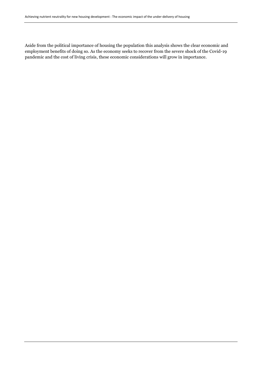Aside from the political importance of housing the population this analysis shows the clear economic and employment benefits of doing so. As the economy seeks to recover from the severe shock of the Covid-19 pandemic and the cost of living crisis, these economic considerations will grow in importance.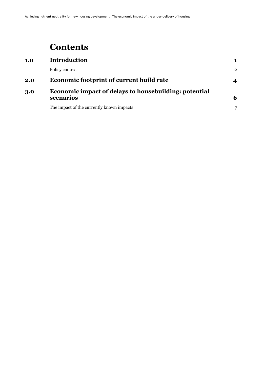## **Contents**

| 1.0 | <b>Introduction</b>                                                       |                |
|-----|---------------------------------------------------------------------------|----------------|
|     | Policy context                                                            | $\overline{2}$ |
| 2.0 | <b>Economic footprint of current build rate</b>                           | 4              |
| 3.0 | <b>Economic impact of delays to housebuilding: potential</b><br>scenarios | 6              |
|     | The impact of the currently known impacts                                 |                |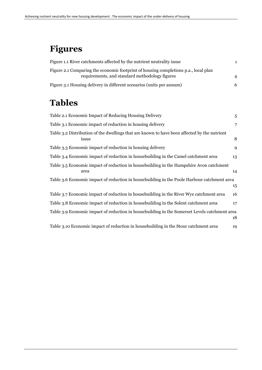# **Figures**

| Figure 1.1 River catchments affected by the nutrient neutrality issue                                                                 |   |
|---------------------------------------------------------------------------------------------------------------------------------------|---|
| Figure 2.1 Comparing the economic footprint of housing completions p.a., local plan<br>requirements, and standard methodology figures |   |
| Figure 3.1 Housing delivery in different scenarios (units per annum)                                                                  | 6 |

# **Tables**

| Table 2.1 Economic Impact of Reducing Housing Delivery                                                | 5  |
|-------------------------------------------------------------------------------------------------------|----|
| Table 3.1 Economic impact of reduction in housing delivery                                            | 7  |
| Table 3.2 Distribution of the dwellings that are known to have been affected by the nutrient<br>issue | 8  |
| Table 3.3 Economic impact of reduction in housing delivery                                            | 9  |
| Table 3.4 Economic impact of reduction in house building in the Camel catchment area                  | 13 |
| Table 3.5 Economic impact of reduction in house building in the Hampshire Avon catchment<br>area      | 14 |
| Table 3.6 Economic impact of reduction in house building in the Poole Harbour catchment area          | 15 |
| Table 3.7 Economic impact of reduction in housebuilding in the River Wye catchment area               | 16 |
| Table 3.8 Economic impact of reduction in house building in the Solent catchment area                 | 17 |
| Table 3.9 Economic impact of reduction in housebuilding in the Somerset Levels catchment area         | 18 |
| Table 3.10 Economic impact of reduction in housebuilding in the Stour catchment area                  | 19 |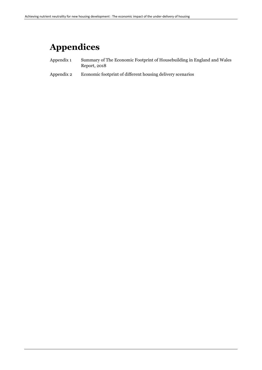# **Appendices**

- Appendix 1 [Summary of The Economic Footprint of Housebuilding in England and Wales](#page-20-0)  [Report, 2018](#page-20-0)
- Appendix 2 [Economic footprint of different housing delivery scenarios](#page-22-1)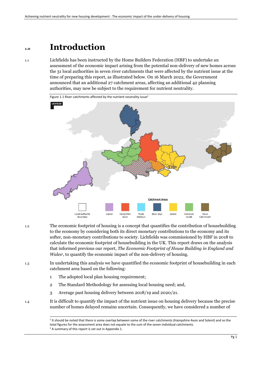### **1.0 Introduction**

1.1 Lichfields has been instructed by the Home Builders Federation (HBF) to undertake an assessment of the economic impact arising from the potential non-delivery of new homes across the 31 local authorities in seven river catchments that were affected by the nutrient issue at the time of preparing this report, as illustrated below. On 16 March 2022, the Government announced that an additional 27 catchment areas, affecting an additional 42 planning authorities, may now be subject to the requirement for nutrient neutrality.

<span id="page-10-0"></span>

1.2 The economic footprint of housing is a concept that quantifies the contribution of housebuilding to the economy by considering both its direct monetary contributions to the economy and its softer, non-monetary contributions to society. Lichfields was commissioned by HBF in 2018 to calculate the economic footprint of housebuilding in the UK. This report draws on the analysis that informed previous our report, *The Economic Footprint of House Building in England and Wales<sup>3</sup>* , to quantify the economic impact of the non-delivery of housing.

1.3 In undertaking this analysis we have quantified the economic footprint of housebuilding in each catchment area based on the following:

- 1 The adopted local plan housing requirement;
- 2 The Standard Methodology for assessing local housing need; and,
- 3 Average past housing delivery between 2018/19 and 2020/21.
- 1.4 It is difficult to quantify the impact of the nutrient issue on housing delivery because the precise number of homes delayed remains uncertain. Consequently, we have considered a number of

<sup>&</sup>lt;sup>2</sup> It should be noted that there is some overlap between some of the river catchments (Hampshire Avon and Solent) and so the total figures for the assessment area does not equate to the sum of the seven individual catchments. <sup>3</sup> A summary of this report is set out in Appendix 1.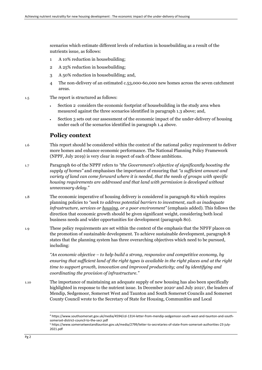scenarios which estimate different levels of reduction in housebuilding as a result of the nutrients issue, as follows:

- 1 A 10% reduction in housebuilding;
- 2 A 25% reduction in housebuilding;
- 3 A 50% reduction in housebuilding; and,
- 4 The non-delivery of an estimated c.53,000-60,000 new homes across the seven catchment areas.
- 1.5 The report is structured as follows:
	- Section 2 considers the economic footprint of housebuilding in the study area when measured against the three scenarios identified in paragraph 1.3 above; and,
	- Section 3 sets out our assessment of the economic impact of the under-delivery of housing under each of the scenarios identified in paragraph 1.4 above.

### **Policy context**

- 1.6 This report should be considered within the context of the national policy requirement to deliver more homes and enhance economic performance. The National Planning Policy Framework (NPPF, July 2019) is very clear in respect of each of these ambitions.
- 1.7 Paragraph 60 of the NPPF refers to *"the Government's objective of significantly boosting the supply of homes"* and emphasises the importance of ensuring that *"a sufficient amount and variety of land can come forward where it is needed, that the needs of groups with specific housing requirements are addressed and that land with permission is developed without unnecessary delay."*
- 1.8 The economic imperative of housing delivery is considered in paragraph 82 which requires planning policies to *"seek to address potential barriers to investment, such as inadequate infrastructure, services or housing, or a poor environment"* (emphasis added). This follows the direction that economic growth should be given significant weight, considering both local business needs and wider opportunities for development (paragraph 80).
- 1.9 These policy requirements are set within the context of the emphasis that the NPFF places on the promotion of sustainable development. To achieve sustainable development, paragraph 8 states that the planning system has three overarching objectives which need to be pursued, including:

*"An economic objective – to help build a strong, responsive and competitive economy, by ensuring that sufficient land of the right types is available in the right places and at the right time to support growth, innovation and improved productivity; and by identifying and coordinating the provision of infrastructure."*

1.10 The importance of maintaining an adequate supply of new housing has also been specifically highlighted in response to the nutrient issue. In December 2020<sup>4</sup> and July 2021<sup>5</sup>, the leaders of Mendip, Sedgemoor, Somerset West and Taunton and South Somerset Councils and Somerset County Council wrote to the Secretary of State for Housing, Communities and Local

<sup>4</sup> https://www.southsomerset.gov.uk/media/4594/cd-1314-letter-from-mendip-sedgemoor-south-west-and-taunton-and-southsomerset-district-council-to-the-secr.pdf

<sup>5</sup> https://www.somersetwestandtaunton.gov.uk/media/2799/letter-to-secretaries-of-state-from-somerset-authorities-23-july-2021.pdf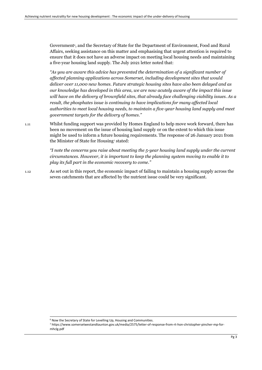Government<sup>5</sup>, and the Secretary of State for the Department of Environment, Food and Rural Affairs, seeking assistance on this matter and emphasising that urgent attention is required to ensure that it does not have an adverse impact on meeting local housing needs and maintaining a five-year housing land supply. The July 2021 letter noted that:

*"As you are aware this advice has prevented the determination of a significant number of affected planning applications across Somerset, including development sites that would deliver over 11,000 new homes. Future strategic housing sites have also been delayed and as our knowledge has developed in this area, we are now acutely aware of the impact this issue will have on the delivery of brownfield sites, that already face challenging viability issues. As a result, the phosphates issue is continuing to have implications for many affected local authorities to meet local housing needs, to maintain a five-year housing land supply and meet government targets for the delivery of homes."*

1.11 Whilst funding support was provided by Homes England to help move work forward, there has been no movement on the issue of housing land supply or on the extent to which this issue might be used to inform a future housing requirements. The response of 26 January 2021 from the Minister of State for Housing<sup>7</sup> stated:

> *"I note the concerns you raise about meeting the 5-year housing land supply under the current circumstances. However, it is important to keep the planning system moving to enable it to play its full part in the economic recovery to come."*

1.12 As set out in this report, the economic impact of failing to maintain a housing supply across the seven catchments that are affected by the nutrient issue could be very significant.

<sup>6</sup> Now the Secretary of State for Levelling Up, Housing and Communities.

<sup>7</sup> https://www.somersetwestandtaunton.gov.uk/media/2575/letter-of-response-from-rt-hon-christopher-pincher-mp-formhclg.pdf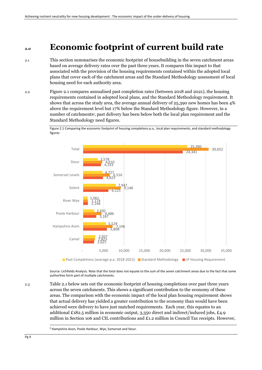### **2.0 Economic footprint of current build rate**

- 2.1 This section summarises the economic footprint of housebuilding in the seven catchment areas based on average delivery rates over the past three years. It compares this impact to that associated with the provision of the housing requirements contained within the adopted local plans that cover each of the catchment areas and the Standard Methodology assessment of local housing need for each authority area.
- 2.2 Figure 2.1 compares annualised past completion rates (between 2018 and 2021), the housing requirements contained in adopted local plans, and the Standard Methodology requirement. It shows that across the study area, the average annual delivery of 25,390 new homes has been 4% above the requirement level but 17% below the Standard Methodology figure. However, in a number of catchments<sup>8</sup>, past delivery has been below both the local plan requirement and the Standard Methodology need figures.

<span id="page-13-0"></span>Figure 2.1 Comparing the economic footprint of housing completions p.a., local plan requirements, and standard methodology figures



Source: Lichfields Analysis. Note that the total does not equate to the sum of the seven catchment areas due to the fact that some authorities form part of multiple catchments.

2.3 Table 2.1 below sets out the economic footprint of housing completions over past three years across the seven catchments. This shows a significant contribution to the economy of these areas. The comparison with the economic impact of the local plan housing requirement shows that actual delivery has yielded a greater contribution to the economy than would have been achieved were delivery to have just matched requirements. Each year, this equates to an additional £182.5 million in economic output, 3,350 direct and indirect/induced jobs, £4.9 million in Section 106 and CIL contributions and  $E1.2$  million in Council Tax receipts. However,

<sup>8</sup> Hampshire Avon, Poole Harbour, Wye, Somerset and Stour.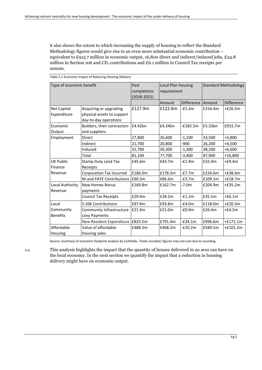it also shows the extent to which increasing the supply of housing to reflect the Standard Methodology figures would give rise to an even more substantial economic contribution – equivalent to £915.7 million in economic output, 16,800 direct and indirect/induced jobs, £24.8 million in Section 106 and CIL contributions and £6.1 million in Council Tax receipts per annum.

| Type of economic benefit   |                                              | Past<br>completions |         | Local Plan housing<br><b>Standard Methodology</b><br>requirement |         |                   |
|----------------------------|----------------------------------------------|---------------------|---------|------------------------------------------------------------------|---------|-------------------|
|                            |                                              |                     |         |                                                                  |         |                   |
|                            |                                              |                     | Amount  | Difference Amount                                                |         | <b>Difference</b> |
| Net Capital                | Acquiring or upgrading                       | £127.9m             | £122.6m | $-E5.3m$                                                         | £154.4m | $+£26.5m$         |
| Expenditure                | physical assets to support                   |                     |         |                                                                  |         |                   |
|                            | day-to-day operations                        |                     |         |                                                                  |         |                   |
| Economic<br>Output         | Builders, their contractors<br>and suppliers | £4.42bn             | £4.24bn | $-£182.5m$                                                       | £5.33bn | £915.7m           |
| Employment                 | <b>Direct</b>                                | 27,800              | 26,600  | $-1,100$                                                         | 33,500  | $+5,800$          |
|                            | Indirect                                     | 21,700              | 20,800  | -900                                                             | 26,200  | $+4,500$          |
|                            | Induced                                      | 31,700              | 30,300  | $-1,300$                                                         | 38,200  | $+6,600$          |
|                            | Total                                        | 81,100              | 77,700  | $-3,400$                                                         | 97,900  | $+16,800$         |
| UK Public                  | <b>Stamp Duty Land Tax</b>                   | £45.6m              | £43.7m  | $-f1.9m$                                                         | £55.0m  | $+£9.4m$          |
| Finance                    | Receipts                                     |                     |         |                                                                  |         |                   |
| Revenue                    | <b>Corporation Tax Incurred</b>              | £186.0m             | £178.3m | $-E7.7m$                                                         | £224.6m | $+£38.6m$         |
|                            | NI and PAYE Contributions E90.3m             |                     | £86.6m  | $-E3.7m$                                                         | £109.1m | $+£18.7m$         |
| Local Authority<br>Revenue | <b>New Homes Bonus</b><br>payments           | £169.8m             | £162.7m | $-7.0m$                                                          | £204.9m | $+£35.2m$         |
|                            | <b>Council Tax Receipts</b>                  | £29.4m              | £28.2m  | $-f1.2m$                                                         | £35.5m  | $+66.1m$          |
| Local                      | S.106 Contributions                          | £97.8m              | £93.8m  | $-£4.0m$                                                         | £118.0m | $+£20.3m$         |
| Community                  | Community Infrastructure                     | £21.9m              | £21.0m  | $-£0.9m$                                                         | £26.4m  | $+£4.5m$          |
| <b>Benefits</b>            | Levy Payments                                |                     |         |                                                                  |         |                   |
|                            | New Resident Expenditure E825.5m             |                     | £791.4m | $-E34.1m$                                                        | £996.6m | $+£171.1m$        |
| Affordable<br>Housing      | Value of affordable<br>housing sales         | £488.3m             | £468.2m | -£20.2m                                                          | £589.5m | $+£101.2m$        |

<span id="page-14-0"></span>Table 2.1 Economic Impact of Reducing Housing Delivery

Source: Summary of economic footprint analysis by Lichfields. Totals rounded; figures may not sum due to rounding.

2.4 This analysis highlights the impact that the quantity of houses delivered in an area can have on the local economy. In the next section we quantify the impact that a reduction in housing delivery might have on economic output.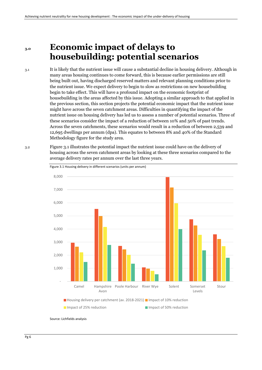## **3.0 Economic impact of delays to housebuilding: potential scenarios**

3.1 It is likely that the nutrient issue will cause a substantial decline in housing delivery. Although in many areas housing continues to come forward, this is because earlier permissions are still being built out, having discharged reserved matters and relevant planning conditions prior to the nutrient issue. We expect delivery to begin to slow as restrictions on new housebuilding begin to take effect. This will have a profound impact on the economic footprint of housebuilding in the areas affected by this issue. Adopting a similar approach to that applied in the previous section, this section projects the potential economic impact that the nutrient issue might have across the seven catchment areas. Difficulties in quantifying the impact of the nutrient issue on housing delivery has led us to assess a number of potential scenarios. Three of these scenarios consider the impact of a reduction of between 10% and 50% of past trends. Across the seven catchments, these scenarios would result in a reduction of between 2,539 and 12,695 dwellings per annum (dpa). This equates to between 8% and 40% of the Standard Methodology figure for the study area.

3.2 Figure 3.1 illustrates the potential impact the nutrient issue could have on the delivery of housing across the seven catchment areas by looking at these three scenarios compared to the average delivery rates per annum over the last three years.



Source: Lichfields analysis

<span id="page-15-0"></span>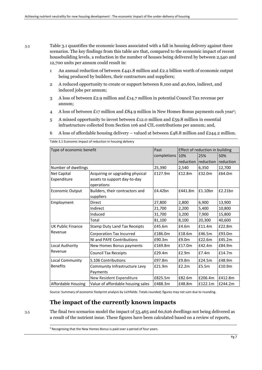3.3 Table 3.1 quantifies the economic losses associated with a fall in housing delivery against three scenarios. The key findings from this table are that, compared to the economic impact of recent housebuilding levels, a reduction in the number of houses being delivered by between 2,540 and 12,700 units per annum could result in:

- 1 An annual reduction of between £441.8 million and £2.2 billion worth of economic output being produced by builders, their contractors and suppliers;
- 2 A reduced opportunity to create or support between 8,100 and 40,600, indirect, and induced jobs per annum;
- 3 A loss of between £2.9 million and £14.7 million in potential Council Tax revenue per annum;
- 4 A loss of between £17 million and £84.9 million in New Homes Bonus payments each year<sup>9</sup>;
- 5 A missed opportunity to invest between £12.0 million and £59.8 million in essential infrastructure collected from Section 106 and CIL contributions per annum; and,
- 6 A loss of affordable housing delivery valued at between £48.8 million and £244.2 million.

<span id="page-16-0"></span>Table 3.1 Economic impact of reduction in housing delivery

| Type of economic benefit | Past                                |             | Effect of reduction in building |           |           |  |
|--------------------------|-------------------------------------|-------------|---------------------------------|-----------|-----------|--|
|                          |                                     | completions | 10%                             | 25%       | 50%       |  |
|                          |                                     |             | reduction                       | reduction | reduction |  |
| Number of dwellings      |                                     | 25,390      | 2,540                           | 6,350     | 12,700    |  |
| Net Capital              | Acquiring or upgrading physical     | £127.9m     | £12.8m                          | £32.0m    | £64.0m    |  |
| Expenditure              | assets to support day-to-day        |             |                                 |           |           |  |
|                          | operations                          |             |                                 |           |           |  |
| <b>Economic Output</b>   | Builders, their contractors and     | £4.42bn     | £441.8m                         | £1.10bn   | £2.21bn   |  |
|                          | suppliers                           |             |                                 |           |           |  |
| Employment               | <b>Direct</b>                       | 27,800      | 2,800                           | 6,900     | 13,900    |  |
|                          | Indirect                            | 21,700      | 2,200                           | 5,400     | 10,800    |  |
|                          | Induced                             | 31,700      | 3,200                           | 7,900     | 15,800    |  |
|                          | Total                               | 81,100      | 8,100                           | 20,300    | 40,600    |  |
| <b>UK Public Finance</b> | <b>Stamp Duty Land Tax Receipts</b> | £45.6m      | £4.6m                           | £11.4m    | £22.8m    |  |
| Revenue                  | <b>Corporation Tax Incurred</b>     | £186.0m     | £18.6m                          | £46.5m    | £93.0m    |  |
|                          | NI and PAYE Contributions           | £90.3m      | £9.0m                           | £22.6m    | £45.2m    |  |
| Local Authority          | New Homes Bonus payments            | £169.8m     | £17.0m                          | £42.4m    | £84.9m    |  |
| Revenue                  | <b>Council Tax Receipts</b>         | £29.4m      | £2.9m                           | E7.4m     | £14.7m    |  |
| Local Community          | <b>S.106 Contributions</b>          | £97.8m      | £9.8m                           | £24.5m    | £48.9m    |  |
| <b>Benefits</b>          | Community Infrastructure Levy       | £21.9m      | £2.2m                           | £5.5m     | £10.9m    |  |
|                          | Payments                            |             |                                 |           |           |  |
|                          | New Resident Expenditure            | £825.5m     | £82.6m                          | £206.4m   | £412.8m   |  |
| Affordable Housing       | Value of affordable housing sales   | £488.3m     | £48.8m                          | £122.1m   | £244.2m   |  |

Source: Summary of economic footprint analysis by Lichfields. Totals rounded; figures may not sum due to rounding.

### **The impact of the currently known impacts**

3.5 The final two scenarios model the impact of 53,465 and 60,626 dwellings not being delivered as a result of the nutrient issue. These figures have been calculated based on a review of reports,

<sup>9</sup> Recognising that the New Homes Bonus is paid over a period of four years.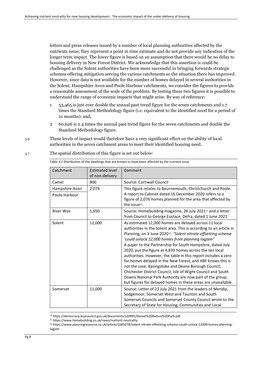letters and press releases issued by a number of local planning authorities affected by the nutrients issue; they represent a point in time estimate and do not provide any indication of the longer term impact. The lower figure is based on an assumption that there would be no delay to housing delivery in New Forest District. We acknowledge that this assertion is could be challenged as the Solent authorities have been more successful in bringing forwards strategic schemes offering mitigation serving the various catchments so the situation there has improved. However, since data is not available for the number of homes delayed in several authorities in the Solent, Hampshire Avon and Poole Harbour catchments, we consider the figures to provide a reasonable assessment of the scale of the problem. By testing these two figures it is possible to understand the range of economic impacts that might arise. By way of reference:

- 1 53,465 is just over double the annual past trend figure for the seven catchments and 1.7 times the Standard Methodology figure (i.e. equivalent to the identified need for a period of 21 months); and,
- 2 60,626 is 2.4 times the annual past trend figure for the seven catchments and double the Standard Methodology figure.
- 3.6 These levels of impact would therefore have a very significant effect on the ability of local authorities in the seven catchment areas to meet their identified housing need.

<span id="page-17-0"></span>

| 3.7 |  | The spatial distribution of this figure is set out below: |  |
|-----|--|-----------------------------------------------------------|--|
|     |  |                                                           |  |

Table 3.2 Distribution of the dwellings that are known to have been affected by the nutrient issue

| Catchment                       | <b>Estimated level</b><br>of non-delivery | Comment                                                                                                                                                                                                                                                                                                                                                                                                                                                                                                                                                                                                                                                                                                                                                                      |
|---------------------------------|-------------------------------------------|------------------------------------------------------------------------------------------------------------------------------------------------------------------------------------------------------------------------------------------------------------------------------------------------------------------------------------------------------------------------------------------------------------------------------------------------------------------------------------------------------------------------------------------------------------------------------------------------------------------------------------------------------------------------------------------------------------------------------------------------------------------------------|
| Camel                           | 900                                       | Source: Cornwall Council                                                                                                                                                                                                                                                                                                                                                                                                                                                                                                                                                                                                                                                                                                                                                     |
| Hampshire Avon<br>Poole Harbour | 2,076                                     | This figure relates to Bournemouth, Christchurch and Poole.<br>A report to Cabinet dated 16 December 2020 refers to a                                                                                                                                                                                                                                                                                                                                                                                                                                                                                                                                                                                                                                                        |
|                                 |                                           | figure of 2,076 homes planned for the area that affected by<br>the issue <sup>10</sup> .                                                                                                                                                                                                                                                                                                                                                                                                                                                                                                                                                                                                                                                                                     |
| River Wye                       | 1,650                                     | Source: Homebuilding magazine, 26 July 2021 <sup>11</sup> and a letter<br>from Council to George Eustace, Defra, dated 1 June 2021                                                                                                                                                                                                                                                                                                                                                                                                                                                                                                                                                                                                                                           |
| Solent                          | 12,000                                    | As estimated 12,000 homes are delayed across 11 local<br>authorities in the Solent area. This is according to an article in<br>Planning, on 3 June 2020 <sup>12</sup> : "Solent nitrate offsetting scheme<br>'could unlock 12,000 homes from planning logjam"<br>A paper to the Partnership for South Hampshire, dated July<br>2020, put the figure at 4,839 homes across the ten local<br>authorities. However, the table in this report includes a zero<br>for homes delayed in the New Forest, and HBF knows this is<br>not the case. Basingstoke and Deane Borough Council,<br>Chichester District Council, Isle of Wight Council and South<br>Downs National Park Authority are now part of the group,<br>but figures for delayed homes in these areas are unavailable. |
| Somerset                        | 11,000                                    | Source: Letter of 23 July 2021 from the leaders of Mendip,<br>Sedgemoor, Somerset West and Taunton and South<br>Somerset Councils and Somerset County Council wrote to the<br>Secretary of State for Housing, Communities and Local                                                                                                                                                                                                                                                                                                                                                                                                                                                                                                                                          |

<sup>10</sup> https://democracy.bcpcouncil.gov.uk/documents/s20995/Dorset%20Nature%20Park.pdf

<sup>11</sup> https://www.homebuilding.co.uk/news/nutrient-neutrality

<sup>12</sup> https://www.planningresource.co.uk/article/1685078/solent-nitrate-offsetting-scheme-could-unlock-12000-homes-planninglogjam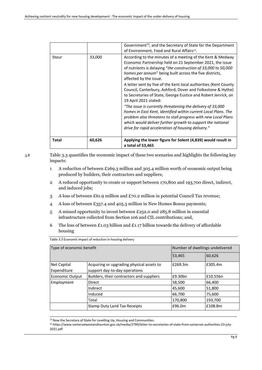|       |        | Government <sup>13</sup> , and the Secretary of State for the Department<br>of Environment, Food and Rural Affairs <sup>14</sup> .                                                                                                                                                                                                                                                                                                                                                                                                                                                                                                                                                                                                                                                                                                |
|-------|--------|-----------------------------------------------------------------------------------------------------------------------------------------------------------------------------------------------------------------------------------------------------------------------------------------------------------------------------------------------------------------------------------------------------------------------------------------------------------------------------------------------------------------------------------------------------------------------------------------------------------------------------------------------------------------------------------------------------------------------------------------------------------------------------------------------------------------------------------|
| Stour | 33,000 | According to the minutes of a meeting of the Kent & Medway<br>Economic Partnership held on 21 September 2021, the issue<br>of nutrients is delaying "the construction of 33,000 to 50,000<br>homes per annum" being built across the five districts,<br>affected by the issue.<br>A letter sent by five of the Kent local authorities (Kent County<br>Council, Canterbury, Ashford, Dover and Folkestone & Hythe)<br>to Secretaries of State, George Eustice and Robert Jenrick, on<br>19 April 2021 stated:<br>"The issue is currently threatening the delivery of 33,000<br>homes in East Kent, identified within current Local Plans. The<br>problem also threatens to stall progress with new Local Plans<br>which would deliver further growth to support the national<br>drive for rapid acceleration of housing delivery." |
| Total | 60,626 | Applying the lower figure for Solent (4,839) would result in<br>a total of 53,465                                                                                                                                                                                                                                                                                                                                                                                                                                                                                                                                                                                                                                                                                                                                                 |

3.8 Table 3.3 quantifies the economic impact of these two scenarios and highlights the following key impacts:

- 1 A reduction of between £269.3 million and 305.4 million worth of economic output being produced by builders, their contractors and suppliers;
- 2 A reduced opportunity to create or support between 170,800 and 193,700 direct, indirect, and induced jobs;
- 3 A loss of between £61.9 million and £70.2 million in potential Council Tax revenue;
- 4 A loss of between £357.4 and 405.3 million in New Homes Bonus payments;
- 5 A missed opportunity to invest between £252.0 and 285.8 million in essential infrastructure collected from Section 106 and CIL contributions; and,
- 6 The loss of between £1.03 billion and £1.17 billion towards the delivery of affordable housing

<span id="page-18-0"></span>

| Type of economic benefit   |                                                                            |         | Number of dwellings undelivered |  |  |
|----------------------------|----------------------------------------------------------------------------|---------|---------------------------------|--|--|
|                            |                                                                            | 53,465  | 60,626                          |  |  |
| Net Capital<br>Expenditure | Acquiring or upgrading physical assets to<br>support day-to-day operations | E269.3m | £305.4m                         |  |  |
| <b>Economic Output</b>     | Builders, their contractors and suppliers                                  | E9.30bn | £10.55bn                        |  |  |
| Employment                 | Direct                                                                     | 58,500  | 66,400                          |  |  |
|                            | Indirect                                                                   | 45,600  | 51,800                          |  |  |
|                            | Induced                                                                    | 66,700  | 75,600                          |  |  |
|                            | Total                                                                      | 170,800 | 193,700                         |  |  |
|                            | <b>Stamp Duty Land Tax Receipts</b>                                        | E96.0m  | £108.8m                         |  |  |

Table 3.3 Economic impact of reduction in housing delivery

<sup>&</sup>lt;sup>13</sup> Now the Secretary of State for Levelling Up, Housing and Communities.

<sup>14</sup> https://www.somersetwestandtaunton.gov.uk/media/2799/letter-to-secretaries-of-state-from-somerset-authorities-23-july-2021.pdf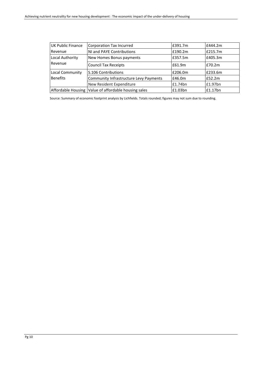| UK Public Finance | Corporation Tax Incurred                             | £391.7m | £444.2m |
|-------------------|------------------------------------------------------|---------|---------|
| Revenue           | NI and PAYE Contributions                            | £190.2m | £215.7m |
| Local Authority   | New Homes Bonus payments                             | E357.5m | £405.3m |
| Revenue           | <b>Council Tax Receipts</b>                          | £61.9m  | £70.2m  |
| Local Community   | S.106 Contributions                                  | £206.0m | £233.6m |
| <b>Benefits</b>   | Community Infrastructure Levy Payments               | £46.0m  | £52.2m  |
|                   | New Resident Expenditure                             | £1.74bn | £1.97bn |
|                   | Affordable Housing Value of affordable housing sales | £1.03bn | E1.17bn |

Source: Summary of economic footprint analysis by Lichfields. Totals rounded; figures may not sum due to rounding.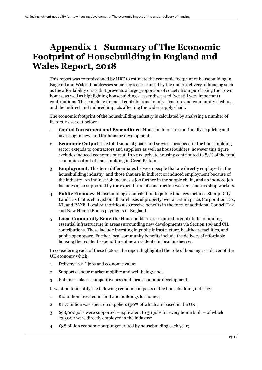## <span id="page-20-0"></span>**Appendix 1 Summary of The Economic Footprint of Housebuilding in England and Wales Report, 2018**

This report was commissioned by HBF to estimate the economic footprint of housebuilding in England and Wales. It addresses some key issues caused by the under-delivery of housing such as the affordability crisis that prevents a large proportion of society from purchasing their own homes, as well as highlighting housebuilding's lesser discussed (yet still very important) contributions. These include financial contributions to infrastructure and community facilities, and the indirect and induced impacts affecting the wider supply chain.

The economic footprint of the housebuilding industry is calculated by analysing a number of factors, as set out below:

- 1 **Capital Investment and Expenditure**: Housebuilders are continually acquiring and investing in new land for housing development.
- 2 **Economic Output**: The total value of goods and services produced in the housebuilding sector extends to contractors and suppliers as well as housebuilders, however this figure excludes induced economic output. In 2017, private housing contributed to 85% of the total economic output of housebuilding in Great Britain .
- 3 **Employment**: This term differentiates between people that are directly employed in the housebuilding industry, and those that are in indirect or induced employment because of the industry. An indirect job includes a job further in the supply chain, and an induced job includes a job supported by the expenditure of construction workers, such as shop workers.
- 4 **Public Finances**: Housebuilding's contribution to public finances includes Stamp Duty Land Tax that is charged on all purchases of property over a certain price, Corporation Tax, NI, and PAYE. Local Authorities also receive benefits in the form of additional Council Tax and New Homes Bonus payments in England.
- 5 **Local Community Benefits**: Housebuilders are required to contribute to funding essential infrastructure in areas surrounding new developments via Section 106 and CIL contributions. These include investing in public infrastructure, healthcare facilities, and public open space. Further local community benefits include the delivery of affordable housing the resident expenditure of new residents in local businesses.

In considering each of these factors, the report highlighted the role of housing as a driver of the UK economy which:

- 1 Delivers "real" jobs and economic value;
- 2 Supports labour market mobility and well-being; and,
- 3 Enhances places competitiveness and local economic development.

It went on to identify the following economic impacts of the housebuilding industry:

- 1 £12 billion invested in land and buildings for homes;
- 2 £11.7 billion was spent on suppliers (90% of which are based in the UK;
- 3 698,000 jobs were supported equivalent to 3.1 jobs for every home built of which 239,000 were directly employed in the industry;
- 4 £38 billion economic output generated by housebuilding each year;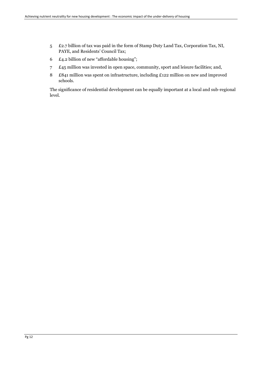- 5 £2.7 billion of tax was paid in the form of Stamp Duty Land Tax, Corporation Tax, NI, PAYE, and Residents' Council Tax;
- 6 £4.2 billion of new "affordable housing";
- 7 £45 million was invested in open space, community, sport and leisure facilities; and,
- 8 £841 million was spent on infrastructure, including £122 million on new and improved schools.

The significance of residential development can be equally important at a local and sub-regional level.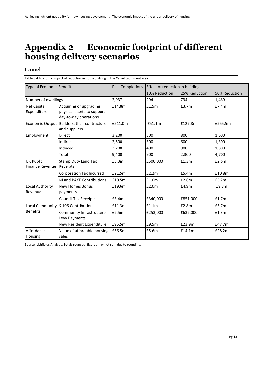# <span id="page-22-1"></span>**Appendix 2 Economic footprint of different housing delivery scenarios**

### **Camel**

<span id="page-22-0"></span>Table 3.4 Economic impact of reduction in housebuilding in the Camel catchment area

| Type of Economic Benefit            |                                                                               | <b>Past Completions</b> | Effect of reduction in building |               |               |
|-------------------------------------|-------------------------------------------------------------------------------|-------------------------|---------------------------------|---------------|---------------|
|                                     |                                                                               |                         | 10% Reduction                   | 25% Reduction | 50% Reduction |
| Number of dwellings                 |                                                                               | 2,937                   | 294                             | 734           | 1,469         |
| <b>Net Capital</b><br>Expenditure   | Acquiring or upgrading<br>physical assets to support<br>day-to-day operations | £14.8m                  | £1.5m                           | £3.7m         | £7.4m         |
|                                     | Economic Output   Builders, their contractors<br>and suppliers                | £511.0m                 | £51.1m                          | £127.8m       | £255.5m       |
| Employment                          | <b>Direct</b>                                                                 | 3,200                   | 300                             | 800           | 1,600         |
|                                     | Indirect                                                                      | 2,500                   | 300                             | 600           | 1,300         |
|                                     | Induced                                                                       | 3,700                   | 400                             | 900           | 1,800         |
|                                     | Total                                                                         | 9,400                   | 900                             | 2,300         | 4,700         |
| <b>UK Public</b><br>Finance Revenue | <b>Stamp Duty Land Tax</b><br>Receipts                                        | £5.3m                   | £500,000                        | £1.3m         | £2.6m         |
|                                     | Corporation Tax Incurred                                                      | £21.5m                  | £2.2m                           | £5.4m         | £10.8m        |
|                                     | NI and PAYE Contributions                                                     | £10.5m                  | £1.0m                           | £2.6m         | £5.2m         |
| Local Authority<br>Revenue          | <b>New Homes Bonus</b><br>payments                                            | £19.6m                  | E2.0m                           | £4.9m         | £9.8m         |
|                                     | <b>Council Tax Receipts</b>                                                   | £3.4m                   | £340,000                        | £851,000      | £1.7m         |
|                                     | Local Community S.106 Contributions                                           | £11.3m                  | £1.1m                           | £2.8m         | £5.7m         |
| <b>Benefits</b>                     | Community Infrastructure<br>Levy Payments                                     | £2.5m                   | £253,000                        | £632,000      | f1.3m         |
|                                     | New Resident Expenditure                                                      | £95.5m                  | £9.5m                           | £23.9m        | £47.7m        |
| Affordable<br>Housing               | Value of affordable housing<br>sales                                          | £56.5m                  | £5.6m                           | £14.1m        | £28.2m        |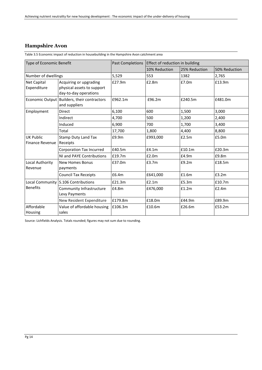### **Hampshire Avon**

<span id="page-23-0"></span>Table 3.5 Economic impact of reduction in housebuilding in the Hampshire Avon catchment area

| Type of Economic Benefit                   |                                                                               | <b>Past Completions</b> | Effect of reduction in building |               |               |  |
|--------------------------------------------|-------------------------------------------------------------------------------|-------------------------|---------------------------------|---------------|---------------|--|
|                                            |                                                                               |                         | 10% Reduction                   | 25% Reduction | 50% Reduction |  |
| Number of dwellings                        |                                                                               | 5,529                   | 553                             | 1382          | 2,765         |  |
| <b>Net Capital</b><br>Expenditure          | Acquiring or upgrading<br>physical assets to support<br>day-to-day operations | £27.9m                  | £2.8m                           | £7.0m         | £13.9m        |  |
|                                            | Economic Output Builders, their contractors<br>and suppliers                  | £962.1m                 | £96.2m                          | £240.5m       | £481.0m       |  |
| Employment                                 | <b>Direct</b>                                                                 | 6,100                   | 600                             | 1,500         | 3,000         |  |
|                                            | Indirect                                                                      | 4,700                   | 500                             | 1,200         | 2,400         |  |
|                                            | Induced                                                                       | 6,900                   | 700                             | 1,700         | 3,400         |  |
|                                            | Total                                                                         | 17,700                  | 1,800                           | 4,400         | 8,800         |  |
| <b>UK Public</b><br><b>Finance Revenue</b> | <b>Stamp Duty Land Tax</b><br>Receipts                                        | £9.9m                   | £993,000                        | £2.5m         | £5.0m         |  |
|                                            | <b>Corporation Tax Incurred</b>                                               | £40.5m                  | f4.1m                           | £10.1m        | £20.3m        |  |
|                                            | NI and PAYE Contributions                                                     | £19.7m                  | £2.0m                           | £4.9m         | £9.8m         |  |
| Local Authority<br>Revenue                 | New Homes Bonus<br>payments                                                   | £37.0m                  | £3.7m                           | £9.2m         | £18.5m        |  |
|                                            | <b>Council Tax Receipts</b>                                                   | £6.4m                   | £641,000                        | £1.6m         | E3.2m         |  |
| <b>Local Community</b>                     | S.106 Contributions                                                           | £21.3m                  | £2.1m                           | £5.3m         | £10.7m        |  |
| <b>Benefits</b>                            | Community Infrastructure<br>Levy Payments                                     | £4.8m                   | £476,000                        | £1.2m         | E2.4m         |  |
|                                            | New Resident Expenditure                                                      | £179.8m                 | £18.0m                          | £44.9m        | £89.9m        |  |
| Affordable<br>Housing                      | Value of affordable housing<br>sales                                          | £106.3m                 | £10.6m                          | £26.6m        | £53.2m        |  |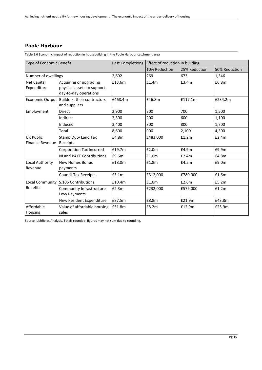#### **Poole Harbour**

<span id="page-24-0"></span>Table 3.6 Economic impact of reduction in housebuilding in the Poole Harbour catchment area

| Type of Economic Benefit            |                                                                               | <b>Past Completions</b><br>Effect of reduction in building |               |               |               |
|-------------------------------------|-------------------------------------------------------------------------------|------------------------------------------------------------|---------------|---------------|---------------|
|                                     |                                                                               |                                                            | 10% Reduction | 25% Reduction | 50% Reduction |
| Number of dwellings                 |                                                                               | 2,692                                                      | 269           | 673           | 1,346         |
| <b>Net Capital</b><br>Expenditure   | Acquiring or upgrading<br>physical assets to support<br>day-to-day operations | £13.6m                                                     | £1.4m         | £3.4m         | £6.8m         |
|                                     | Economic Output Builders, their contractors<br>and suppliers                  | £468.4m                                                    | £46.8m        | £117.1m       | £234.2m       |
| Employment                          | <b>Direct</b>                                                                 | 2,900                                                      | 300           | 700           | 1,500         |
|                                     | Indirect                                                                      | 2,300                                                      | 200           | 600           | 1,100         |
|                                     | Induced                                                                       | 3,400                                                      | 300           | 800           | 1,700         |
|                                     | Total                                                                         | 8,600                                                      | 900           | 2,100         | 4,300         |
| <b>UK Public</b><br>Finance Revenue | <b>Stamp Duty Land Tax</b><br>Receipts                                        | £4.8m                                                      | £483,000      | £1.2m         | E2.4m         |
|                                     | Corporation Tax Incurred                                                      | £19.7m                                                     | £2.0m         | £4.9m         | £9.9m         |
|                                     | NI and PAYE Contributions                                                     | £9.6m                                                      | £1.0m         | £2.4m         | £4.8m         |
| Local Authority<br>Revenue          | <b>New Homes Bonus</b><br>payments                                            | £18.0m                                                     | £1.8m         | £4.5m         | £9.0m         |
|                                     | <b>Council Tax Receipts</b>                                                   | £3.1m                                                      | £312,000      | £780,000      | £1.6m         |
| <b>Benefits</b>                     | Local Community S.106 Contributions                                           | £10.4m                                                     | £1.0m         | £2.6m         | £5.2m         |
|                                     | Community Infrastructure<br>Levy Payments                                     | £2.3m                                                      | £232,000      | £579,000      | £1.2m         |
|                                     | New Resident Expenditure                                                      | £87.5m                                                     | £8.8m         | £21.9m        | £43.8m        |
| Affordable<br>Housing               | Value of affordable housing<br>sales                                          | £51.8m                                                     | £5.2m         | £12.9m        | £25.9m        |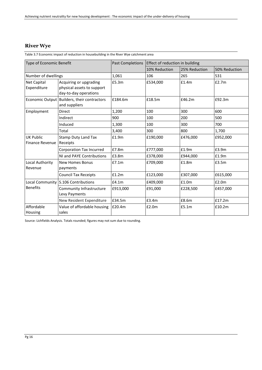### **River Wye**

<span id="page-25-0"></span>Table 3.7 Economic impact of reduction in housebuilding in the River Wye catchment area

| Type of Economic Benefit                   |                                                                               | <b>Past Completions</b><br>Effect of reduction in building |               |               |               |
|--------------------------------------------|-------------------------------------------------------------------------------|------------------------------------------------------------|---------------|---------------|---------------|
|                                            |                                                                               |                                                            | 10% Reduction | 25% Reduction | 50% Reduction |
| Number of dwellings                        |                                                                               | 1,061                                                      | 106           | 265           | 531           |
| <b>Net Capital</b><br>Expenditure          | Acquiring or upgrading<br>physical assets to support<br>day-to-day operations | £5.3m                                                      | £534,000      | £1.4m         | £2.7m         |
|                                            | Economic Output   Builders, their contractors<br>and suppliers                | £184.6m                                                    | £18.5m        | £46.2m        | £92.3m        |
| Employment                                 | <b>Direct</b>                                                                 | 1,200                                                      | 100           | 300           | 600           |
|                                            | Indirect                                                                      | 900                                                        | 100           | 200           | 500           |
|                                            | Induced                                                                       | 1,300                                                      | 100           | 300           | 700           |
|                                            | Total                                                                         | 3,400                                                      | 300           | 800           | 1,700         |
| <b>UK Public</b><br><b>Finance Revenue</b> | <b>Stamp Duty Land Tax</b><br>Receipts                                        | £1.9m                                                      | £190,000      | £476,000      | £952,000      |
|                                            | Corporation Tax Incurred                                                      | £7.8m                                                      | £777,000      | £1.9m         | £3.9m         |
|                                            | NI and PAYE Contributions                                                     | £3.8m                                                      | £378,000      | £944,000      | £1.9m         |
| Local Authority<br>Revenue                 | <b>New Homes Bonus</b><br>payments                                            | E7.1m                                                      | £709,000      | £1.8m         | £3.5m         |
|                                            | <b>Council Tax Receipts</b>                                                   | £1.2m                                                      | £123,000      | £307,000      | £615,000      |
| <b>Local Community</b><br><b>Benefits</b>  | <b>S.106 Contributions</b>                                                    | f4.1m                                                      | £409,000      | £1.0m         | £2.0m         |
|                                            | Community Infrastructure<br>Levy Payments                                     | £913,000                                                   | £91,000       | £228,500      | £457,000      |
|                                            | New Resident Expenditure                                                      | £34.5m                                                     | £3.4m         | £8.6m         | £17.2m        |
| Affordable<br>Housing                      | Value of affordable housing<br>sales                                          | £20.4m                                                     | £2.0m         | £5.1m         | £10.2m        |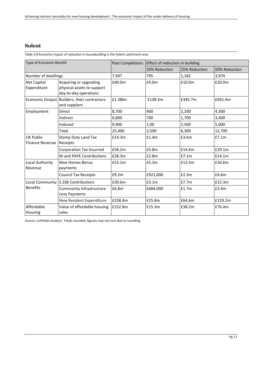#### **Solent**

<span id="page-26-0"></span>Table 3.8 Economic impact of reduction in housebuilding in the Solent catchment area

| Type of Economic Benefit          |                                                                               | <b>Past Completions</b> | Effect of reduction in building |               |               |
|-----------------------------------|-------------------------------------------------------------------------------|-------------------------|---------------------------------|---------------|---------------|
|                                   |                                                                               |                         | 10% Reduction                   | 25% Reduction | 50% Reduction |
| Number of dwellings               |                                                                               | 7,947                   | 795                             | 1,182         | 3,974         |
| <b>Net Capital</b><br>Expenditure | Acquiring or upgrading<br>physical assets to support<br>day-to-day operations | £40.0m                  | £4.0m                           | £10.0m        | £20.0m        |
| <b>Economic Output</b>            | Builders, their contractors<br>and suppliers                                  | £1.38bn                 | £138.3m                         | £345.7m       | £691.4m       |
| Employment                        | <b>Direct</b>                                                                 | 8,700                   | 900                             | 2,200         | 4,300         |
|                                   | Indirect                                                                      | 6,800                   | 700                             | 1.700         | 3,400         |
|                                   | Induced                                                                       | 9,900                   | 1,00                            | 2,500         | 5,000         |
|                                   | Total                                                                         | 25,400                  | 2,500                           | 6,300         | 12,700        |
| UK Public<br>Finance Revenue      | <b>Stamp Duty Land Tax</b><br>Receipts                                        | £14.3m                  | £1.4m                           | £3.6m         | £7.1m         |
|                                   | Corporation Tax Incurred                                                      | £58.2m                  | £5.8m                           | £14.6m        | £29.1m        |
|                                   | NI and PAYE Contributions                                                     | £28.3m                  | £2.8m                           | £7.1m         | £14.1m        |
| Local Authority<br>Revenue        | <b>New Homes Bonus</b><br>payments                                            | £53.1m                  | £5.3m                           | £13.3m        | £26.6m        |
|                                   | <b>Council Tax Receipts</b>                                                   | £9.2m                   | £921,000                        | £2.3m         | £4.6m         |
| <b>Benefits</b>                   | Local Community S.106 Contributions                                           | £30.6m                  | £3.1m                           | £7.7m         | £15.3m        |
|                                   | Community Infrastructure<br>Levy Payments                                     | £6.8m                   | £684,000                        | £1.7m         | £3.4m         |
|                                   | New Resident Expenditure                                                      | £258.4m                 | £25.8m                          | £64.6m        | £129.2m       |
| Affordable<br>Housing             | Value of affordable housing<br>sales                                          | £152.8m                 | £15.3m                          | £38.2m        | £76.4m        |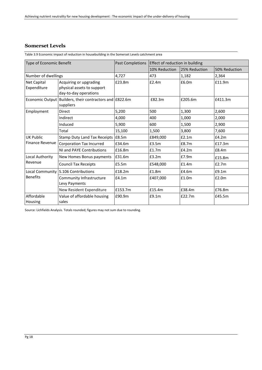#### **Somerset Levels**

<span id="page-27-0"></span>Table 3.9 Economic impact of reduction in housebuilding in the Somerset Levels catchment area

| Type of Economic Benefit                   |                                                                               | Past Completions | Effect of reduction in building |               |               |
|--------------------------------------------|-------------------------------------------------------------------------------|------------------|---------------------------------|---------------|---------------|
|                                            |                                                                               |                  | 10% Reduction                   | 25% Reduction | 50% Reduction |
| Number of dwellings                        |                                                                               | 4,727            | 473                             | 1,182         | 2,364         |
| Net Capital<br>Expenditure                 | Acquiring or upgrading<br>physical assets to support<br>day-to-day operations | £23.8m           | E2.4m                           | £6.0m         | £11.9m        |
|                                            | Economic Output Builders, their contractors and £822.6m<br>suppliers          |                  | £82.3m                          | £205.6m       | £411.3m       |
| Employment                                 | <b>Direct</b>                                                                 | 5,200            | 500                             | 1,300         | 2,600         |
|                                            | Indirect                                                                      | 4,000            | 400                             | 1,000         | 2,000         |
|                                            | Induced                                                                       | 5,900            | 600                             | 1,500         | 2,900         |
|                                            | Total                                                                         | 15,100           | 1,500                           | 3,800         | 7,600         |
| <b>UK Public</b><br><b>Finance Revenue</b> | Stamp Duty Land Tax Receipts E8.5m                                            |                  | £849,000                        | E2.1m         | E4.2m         |
|                                            | Corporation Tax Incurred                                                      | £34.6m           | £3.5m                           | £8.7m         | £17.3m        |
|                                            | NI and PAYE Contributions                                                     | £16.8m           | £1.7m                           | £4.2m         | £8.4m         |
| Local Authority<br>Revenue                 | New Homes Bonus payments                                                      | £31.6m           | £3.2m                           | £7.9m         | £15.8m        |
|                                            | <b>Council Tax Receipts</b>                                                   | £5.5m            | £548,000                        | £1.4m         | £2.7m         |
| Local Community<br><b>Benefits</b>         | S.106 Contributions                                                           | £18.2m           | £1.8m                           | £4.6m         | £9.1m         |
|                                            | Community Infrastructure<br>Levy Payments                                     | £4.1m            | £407,000                        | £1.0m         | £2.0m         |
|                                            | New Resident Expenditure                                                      | £153.7m          | £15.4m                          | £38.4m        | £76.8m        |
| Affordable<br>Housing                      | Value of affordable housing<br>sales                                          | £90.9m           | £9.1m                           | £22.7m        | £45.5m        |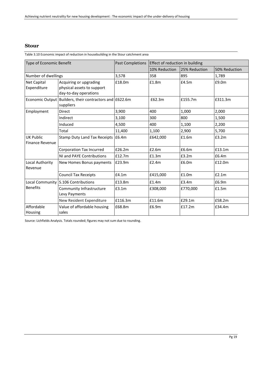#### **Stour**

<span id="page-28-0"></span>Table 3.10 Economic impact of reduction in housebuilding in the Stour catchment area

| Type of Economic Benefit                   |                                                                               | Past Completions | Effect of reduction in building |               |               |
|--------------------------------------------|-------------------------------------------------------------------------------|------------------|---------------------------------|---------------|---------------|
|                                            |                                                                               |                  | 10% Reduction                   | 25% Reduction | 50% Reduction |
| Number of dwellings                        |                                                                               | 3,578            | 358                             | 895           | 1,789         |
| <b>Net Capital</b><br>Expenditure          | Acquiring or upgrading<br>physical assets to support<br>day-to-day operations | £18.0m           | £1.8m                           | £4.5m         | £9.0m         |
|                                            | Economic Output Builders, their contractors and E622.6m<br>suppliers          |                  | £62.3m                          | £155.7m       | £311.3m       |
| Employment                                 | <b>Direct</b>                                                                 | 3,900            | 400                             | 1,000         | 2,000         |
|                                            | Indirect                                                                      | 3,100            | 300                             | 800           | 1,500         |
|                                            | Induced                                                                       | 4,500            | 400                             | 1,100         | 2,200         |
|                                            | Total                                                                         | 11,400           | 1,100                           | 2,900         | 5,700         |
| <b>UK Public</b><br><b>Finance Revenue</b> | Stamp Duty Land Tax Receipts E6.4m                                            |                  | £642,000                        | £1.6m         | £3.2m         |
|                                            | Corporation Tax Incurred                                                      | £26.2m           | £2.6m                           | £6.6m         | £13.1m        |
|                                            | NI and PAYE Contributions                                                     | £12.7m           | £1.3m                           | £3.2m         | £6.4m         |
| Local Authority<br>Revenue                 | New Homes Bonus payments                                                      | £23.9m           | E2.4m                           | £6.0m         | £12.0m        |
|                                            | <b>Council Tax Receipts</b>                                                   | £4.1m            | £415,000                        | £1.0m         | E2.1m         |
| <b>Benefits</b>                            | Local Community S.106 Contributions                                           | £13.8m           | £1.4m                           | £3.4m         | £6.9m         |
|                                            | Community Infrastructure<br>Levy Payments                                     | £3.1m            | £308,000                        | £770,000      | £1.5m         |
|                                            | New Resident Expenditure                                                      | £116.3m          | £11.6m                          | £29.1m        | £58.2m        |
| Affordable<br>Housing                      | Value of affordable housing<br>sales                                          | £68.8m           | £6.9m                           | £17.2m        | £34.4m        |